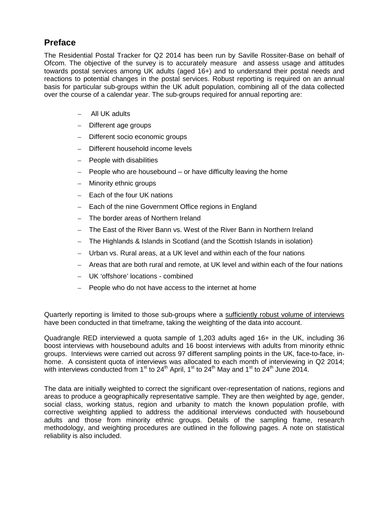### **Preface**

The Residential Postal Tracker for Q2 2014 has been run by Saville Rossiter-Base on behalf of Ofcom. The objective of the survey is to accurately measure and assess usage and attitudes towards postal services among UK adults (aged 16+) and to understand their postal needs and reactions to potential changes in the postal services. Robust reporting is required on an annual basis for particular sub-groups within the UK adult population, combining all of the data collected over the course of a calendar year. The sub-groups required for annual reporting are:

- All UK adults
- Different age groups
- Different socio economic groups
- Different household income levels
- People with disabilities
- People who are housebound or have difficulty leaving the home
- Minority ethnic groups
- Each of the four UK nations
- Each of the nine Government Office regions in England
- The border areas of Northern Ireland
- The East of the River Bann vs. West of the River Bann in Northern Ireland
- The Highlands & Islands in Scotland (and the Scottish Islands in isolation)
- Urban vs. Rural areas, at a UK level and within each of the four nations
- Areas that are both rural and remote, at UK level and within each of the four nations
- UK 'offshore' locations combined
- People who do not have access to the internet at home

Quarterly reporting is limited to those sub-groups where a sufficiently robust volume of interviews have been conducted in that timeframe, taking the weighting of the data into account.

Quadrangle RED interviewed a quota sample of 1,203 adults aged 16+ in the UK, including 36 boost interviews with housebound adults and 16 boost interviews with adults from minority ethnic groups. Interviews were carried out across 97 different sampling points in the UK, face-to-face, inhome. A consistent quota of interviews was allocated to each month of interviewing in Q2 2014; with interviews conducted from 1<sup>st</sup> to 24<sup>th</sup> April, 1<sup>st</sup> to 24<sup>th</sup> May and 1<sup>st</sup> to 24<sup>th</sup> June 2014.

The data are initially weighted to correct the significant over-representation of nations, regions and areas to produce a geographically representative sample. They are then weighted by age, gender, social class, working status, region and urbanity to match the known population profile, with corrective weighting applied to address the additional interviews conducted with housebound adults and those from minority ethnic groups. Details of the sampling frame, research methodology, and weighting procedures are outlined in the following pages. A note on statistical reliability is also included.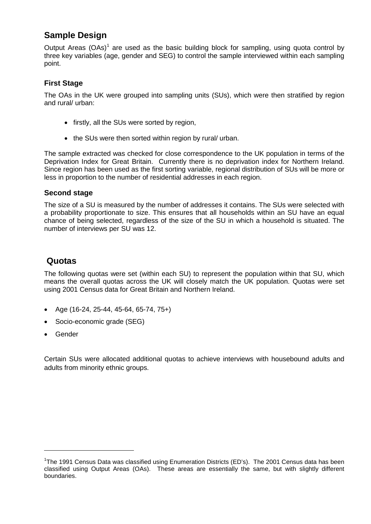# **Sample Design**

Output Areas  $(OAs)^1$  $(OAs)^1$  are used as the basic building block for sampling, using quota control by three key variables (age, gender and SEG) to control the sample interviewed within each sampling point.

#### **First Stage**

The OAs in the UK were grouped into sampling units (SUs), which were then stratified by region and rural/ urban:

- firstly, all the SUs were sorted by region,
- the SUs were then sorted within region by rural/ urban.

The sample extracted was checked for close correspondence to the UK population in terms of the Deprivation Index for Great Britain. Currently there is no deprivation index for Northern Ireland. Since region has been used as the first sorting variable, regional distribution of SUs will be more or less in proportion to the number of residential addresses in each region.

#### **Second stage**

The size of a SU is measured by the number of addresses it contains. The SUs were selected with a probability proportionate to size. This ensures that all households within an SU have an equal chance of being selected, regardless of the size of the SU in which a household is situated. The number of interviews per SU was 12.

### **Quotas**

The following quotas were set (within each SU) to represent the population within that SU, which means the overall quotas across the UK will closely match the UK population. Quotas were set using 2001 Census data for Great Britain and Northern Ireland.

- Age (16-24, 25-44, 45-64, 65-74, 75+)
- Socio-economic grade (SEG)
- Gender

<u>.</u>

Certain SUs were allocated additional quotas to achieve interviews with housebound adults and adults from minority ethnic groups.

<span id="page-1-0"></span><sup>&</sup>lt;sup>1</sup>The 1991 Census Data was classified using Enumeration Districts (ED's). The 2001 Census data has been classified using Output Areas (OAs). These areas are essentially the same, but with slightly different boundaries.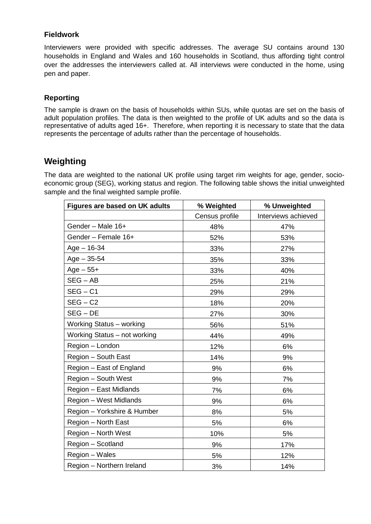#### **Fieldwork**

Interviewers were provided with specific addresses. The average SU contains around 130 households in England and Wales and 160 households in Scotland, thus affording tight control over the addresses the interviewers called at. All interviews were conducted in the home, using pen and paper.

#### **Reporting**

The sample is drawn on the basis of households within SUs, while quotas are set on the basis of adult population profiles. The data is then weighted to the profile of UK adults and so the data is representative of adults aged 16+. Therefore, when reporting it is necessary to state that the data represents the percentage of adults rather than the percentage of households.

## **Weighting**

The data are weighted to the national UK profile using target rim weights for age, gender, socioeconomic group (SEG), working status and region. The following table shows the initial unweighted sample and the final weighted sample profile.

| <b>Figures are based on UK adults</b> | % Weighted     | % Unweighted        |
|---------------------------------------|----------------|---------------------|
|                                       | Census profile | Interviews achieved |
| Gender - Male 16+                     | 48%            | 47%                 |
| Gender - Female 16+                   | 52%            | 53%                 |
| $Age - 16-34$                         | 33%            | 27%                 |
| $Age - 35 - 54$                       | 35%            | 33%                 |
| $Age - 55 +$                          | 33%            | 40%                 |
| $SEG - AB$                            | 25%            | 21%                 |
| $SEG - C1$                            | 29%            | 29%                 |
| $SEG - C2$                            | 18%            | 20%                 |
| $SEG - DE$                            | 27%            | 30%                 |
| Working Status - working              | 56%            | 51%                 |
| Working Status - not working          | 44%            | 49%                 |
| Region - London                       | 12%            | 6%                  |
| Region - South East                   | 14%            | 9%                  |
| Region - East of England              | 9%             | 6%                  |
| Region - South West                   | 9%             | 7%                  |
| Region - East Midlands                | 7%             | 6%                  |
| Region - West Midlands                | 9%             | 6%                  |
| Region - Yorkshire & Humber           | 8%             | 5%                  |
| Region - North East                   | 5%             | 6%                  |
| Region - North West                   | 10%            | 5%                  |
| Region - Scotland                     | 9%             | 17%                 |
| Region - Wales                        | 5%             | 12%                 |
| Region - Northern Ireland             | 3%             | 14%                 |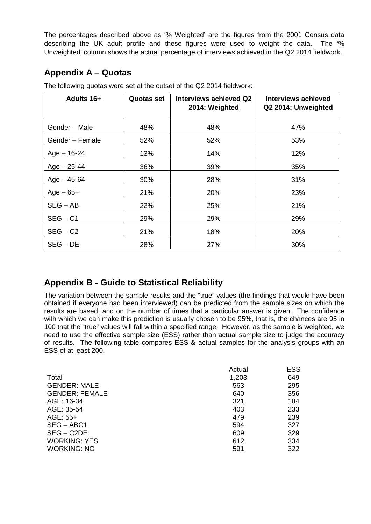The percentages described above as '% Weighted' are the figures from the 2001 Census data describing the UK adult profile and these figures were used to weight the data. The '% Unweighted' column shows the actual percentage of interviews achieved in the Q2 2014 fieldwork.

# **Appendix A – Quotas**

| Adults 16+      | <b>Quotas set</b> | Interviews achieved Q2<br>2014: Weighted | <b>Interviews achieved</b><br>Q2 2014: Unweighted |
|-----------------|-------------------|------------------------------------------|---------------------------------------------------|
| Gender - Male   | 48%               | 48%                                      | 47%                                               |
| Gender - Female | 52%               | 52%                                      | 53%                                               |
| $Age - 16-24$   | 13%               | 14%                                      | 12%                                               |
| $Age - 25-44$   | 36%               | 39%                                      | 35%                                               |
| $Age - 45 - 64$ | 30%               | 28%                                      | 31%                                               |
| $Age-65+$       | 21%               | 20%                                      | 23%                                               |
| $SEG - AB$      | 22%               | 25%                                      | 21%                                               |
| $SEG - C1$      | 29%               | 29%                                      | 29%                                               |
| $SEG - C2$      | 21%               | 18%                                      | 20%                                               |
| $SEG - DE$      | 28%               | 27%                                      | 30%                                               |

The following quotas were set at the outset of the Q2 2014 fieldwork:

# **Appendix B - Guide to Statistical Reliability**

The variation between the sample results and the "true" values (the findings that would have been obtained if everyone had been interviewed) can be predicted from the sample sizes on which the results are based, and on the number of times that a particular answer is given. The confidence with which we can make this prediction is usually chosen to be 95%, that is, the chances are 95 in 100 that the "true" values will fall within a specified range. However, as the sample is weighted, we need to use the effective sample size (ESS) rather than actual sample size to judge the accuracy of results. The following table compares ESS & actual samples for the analysis groups with an ESS of at least 200.

|                       | Actual | <b>ESS</b> |
|-----------------------|--------|------------|
| Total                 | 1,203  | 649        |
| <b>GENDER: MALE</b>   | 563    | 295        |
| <b>GENDER: FEMALE</b> | 640    | 356        |
| AGE: 16-34            | 321    | 184        |
| AGE: 35-54            | 403    | 233        |
| AGE: 55+              | 479    | 239        |
| SEG – ABC1            | 594    | 327        |
| $SEG - C2DE$          | 609    | 329        |
| <b>WORKING: YES</b>   | 612    | 334        |
| <b>WORKING: NO</b>    | 591    | 322        |